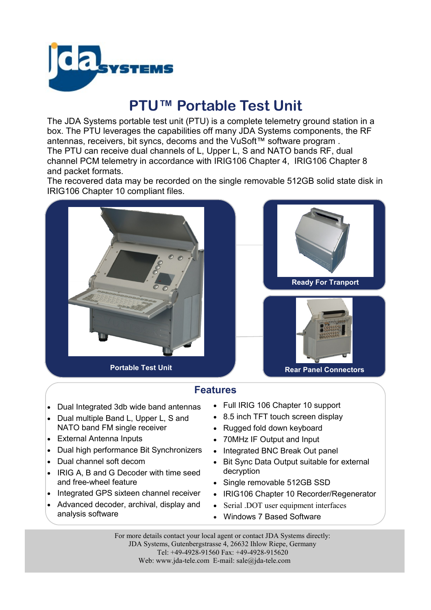

# **PTU™ Portable Test Unit**

The JDA Systems portable test unit (PTU) is a complete telemetry ground station in a box. The PTU leverages the capabilities off many JDA Systems components, the RF antennas, receivers, bit syncs, decoms and the VuSoft™ software program . The PTU can receive dual channels of L, Upper L, S and NATO bands RF, dual channel PCM telemetry in accordance with IRIG106 Chapter 4, IRIG106 Chapter 8 and packet formats.

The recovered data may be recorded on the single removable 512GB solid state disk in IRIG106 Chapter 10 compliant files.





## **Features**

- Dual Integrated 3db wide band antennas
- Dual multiple Band L, Upper L, S and NATO band FM single receiver
- External Antenna Inputs
- Dual high performance Bit Synchronizers
- Dual channel soft decom
- IRIG A, B and G Decoder with time seed and free-wheel feature
- Integrated GPS sixteen channel receiver
- Advanced decoder, archival, display and analysis software
- Full IRIG 106 Chapter 10 support
- 8.5 inch TFT touch screen display
- Rugged fold down keyboard
- 70MHz IF Output and Input
- Integrated BNC Break Out panel
- Bit Sync Data Output suitable for external decryption
- Single removable 512GB SSD
- IRIG106 Chapter 10 Recorder/Regenerator
- Serial .DOT user equipment interfaces
- Windows 7 Based Software

For more details contact your local agent or contact JDA Systems directly: JDA Systems, Gutenbergstrasse 4, 26632 Ihlow Riepe, Germany Tel: +49-4928-91560 Fax: +49-4928-915620 Web: www.jda-tele.com E-mail: sale@jda-tele.com